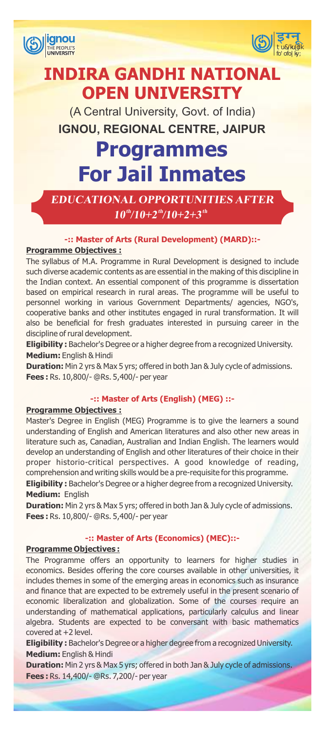



# **INDIRA GANDHI NATIONAL OPEN UNIVERSITY**

IGNOU, REGIONAL CENTRE, JAIPUR (A Central University, Govt. of India)

# **Programmes For Jail Inmates**

**EDUCATIONAL OPPORTUNITIES AFTER th th th 10 /10+2 /10+2+3**

# **-:: Master of Arts (Rural Development) (MARD)::- Programme Objectives :**

The syllabus of M.A. Programme in Rural Development is designed to include such diverse academic contents as are essential in the making of this discipline in the Indian context. An essential component of this programme is dissertation based on empirical research in rural areas. The programme will be useful to personnel working in various Government Departments/ agencies, NGO's, cooperative banks and other institutes engaged in rural transformation. It will also be beneficial for fresh graduates interested in pursuing career in the discipline of rural development.

**Eligibility :** Bachelor's Degree or a higher degree from a recognized University. **Medium:** English & Hindi

**Duration:** Min 2 yrs & Max 5 yrs; offered in both Jan & July cycle of admissions. **Fees :** Rs. 10,800/- @Rs. 5,400/- per year

# **-:: Master of Arts (English) (MEG) ::-**

# **Programme Objectives :**

Master's Degree in English (MEG) Programme is to give the learners a sound understanding of English and American literatures and also other new areas in literature such as, Canadian, Australian and Indian English. The learners would develop an understanding of English and other literatures of their choice in their proper historio-critical perspectives. A good knowledge of reading, comprehension and writing skills would be a pre-requisite for this programme.

**Eligibility :** Bachelor's Degree or a higher degree from a recognized University. **Medium:** English

**Duration:** Min 2 yrs & Max 5 yrs; offered in both Jan & July cycle of admissions. **Fees :** Rs. 10,800/- @Rs. 5,400/- per year

# **-:: Master of Arts (Economics) (MEC)::-**

# **Programme Objectives :**

The Programme offers an opportunity to learners for higher studies in economics. Besides offering the core courses available in other universities, it includes themes in some of the emerging areas in economics such as insurance and finance that are expected to be extremely useful in the present scenario of economic liberalization and globalization. Some of the courses require an understanding of mathematical applications, particularly calculus and linear algebra. Students are expected to be conversant with basic mathematics covered at +2 level.

**Eligibility :** Bachelor's Degree or a higher degree from a recognized University. **Medium:** English & Hindi

**Duration:** Min 2 yrs & Max 5 yrs; offered in both Jan & July cycle of admissions. **Fees :** Rs. 14,400/- @Rs. 7,200/- per year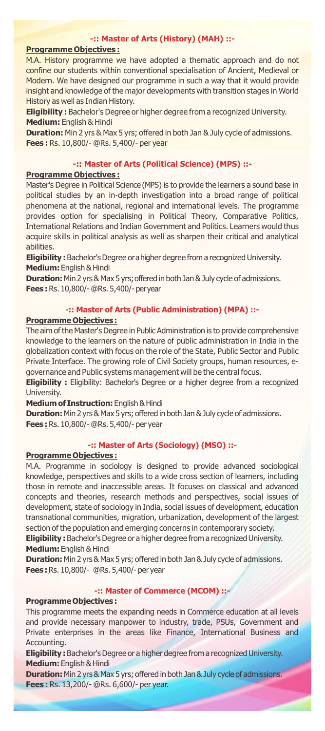# **-:: Master of Arts (History) (MAH) ::-**

# **Programme Objectives :**

M.A. History programme we have adopted a thematic approach and do not confine our students within conventional specialisation of Ancient, Medieval or Modern. We have designed our programme in such a way that it would provide insight and knowledge of the major developments with transition stages in World History as well as Indian History.

**Eligibility :** Bachelor's Degree or higher degree from a recognized University. **Medium:** English & Hindi

**Duration:** Min 2 yrs & Max 5 yrs; offered in both Jan & July cycle of admissions. **Fees :** Rs. 10,800/- @Rs. 5,400/- per year

# **-:: Master of Arts (Political Science) (MPS) ::-**

#### **Programme Objectives :**

Master's Degree in Political Science (MPS) is to provide the learners a sound base in political studies by an in-depth investigation into a broad range of political phenomena at the national, regional and international levels. The programme provides option for specialising in Political Theory, Comparative Politics, International Relations and Indian Government and Politics. Learners would thus acquire skills in political analysis as well as sharpen their critical and analytical abilities.

**Eligibility** : Bachelor's Degree or a higher degree from a recognized University. **Medium:** English&Hindi

**Duration:** Min 2 yrs & Max 5 yrs; offered in both Jan & July cycle of admissions. **Fees :** Rs. 10,800/- @Rs. 5,400/- peryear

#### **-:: Master of Arts (Public Administration) (MPA) ::-**

#### **ProgrammeObjectives :**

The aim of the Master's Degree in Public Administration is to provide comprehensive knowledge to the learners on the nature of public administration in India in the globalization context with focus on the role of the State, Public Sector and Public Private Interface. The growing role of Civil Society groups, human resources, egovernance and Public systems management will be the central focus.

**Eligibility :** Eligibility: Bachelor's Degree or a higher degree from a recognized University.

**Medium of Instruction:** English & Hindi

**Duration:** Min 2 yrs & Max 5 yrs; offered in both Jan & July cycle of admissions. **Fees :** Rs. 10,800/- @Rs. 5,400/- per year

## **-:: Master of Arts (Sociology) (MSO) ::-**

#### **ProgrammeObjectives :**

M.A. Programme in sociology is designed to provide advanced sociological knowledge, perspectives and skills to a wide cross section of learners, including those in remote and inaccessible areas. It focuses on classical and advanced concepts and theories, research methods and perspectives, social issues of development, state of sociology in India, social issues of development, education transnational communities, migration, urbanization, development of the largest section of the population and emerging concerns in contemporary society.

**Eligibility** : Bachelor's Degree or a higher degree from a recognized University. **Medium:** English&Hindi

**Duration:** Min 2 yrs & Max 5 yrs; offered in both Jan & July cycle of admissions. **Fees :**Rs. 10,800/- @Rs. 5,400/- per year

# **-:: Master of Commerce (MCOM) ::-**

#### **ProgrammeObjectives :**

This programme meets the expanding needs in Commerce education at all levels and provide necessary manpower to industry, trade, PSUs, Government and Private enterprises in the areas like Finance, International Business and Accounting.

**Eligibility :** Bachelor's Degree or a higher degree from a recognized University. **Medium:** English&Hindi

**Duration:** Min 2 yrs & Max 5 yrs; offered in both Jan & July cycle of admissions. **Fees :** Rs. 13,200/- @Rs. 6,600/- per year.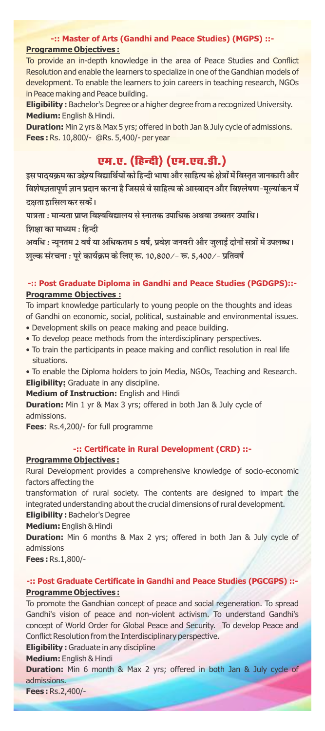# **-:: Master of Arts (Gandhi and Peace Studies) (MGPS) ::- Programme Objectives :**

To provide an in-depth knowledge in the area of Peace Studies and Conflict Resolution and enable the learners to specialize in one of the Gandhian models of development. To enable the learners to join careers in teaching research, NGOs in Peace making and Peace building.

**Eligibility :** Bachelor's Degree or a higher degree from a recognized University. **Medium:** English & Hindi.

**Duration:** Min 2 yrs & Max 5 yrs; offered in both Jan & July cycle of admissions. **Fees :** Rs. 10,800/- @Rs. 5,400/- per year

# एम.ए. (हिन्दी) (एम.एच.डी.)

इस पाठयक्रम का उद्देश्य विद्यार्थियों को हिन्दी भाषा और साहित्य के क्षेत्रों में विस्तत जानकारी और विशेषज्ञतापूर्ण ज्ञान प्रदान करना है जिससे वे साहित्य के आस्वादन और विश्लेषण-मूल्यांकन में दक्षता हासिल कर सकें।

पात्रता : मान्यता प्राप्त विश्वविद्यालय से स्नातक उपाधिक अथवा उच्चतर उपाधि। शिक्षा का माध्यम $:$ हिन्दी

अवधि : न्यूनतम 2 वर्ष या अधिकतम 5 वर्ष, प्रवेश जनवरी और जुलाई दोनों सत्रों में उपलब्ध। शुल्क संरचना : पूरे कार्यक्रम के लिए रू. 10,800/- रू. 5,400/- प्रतिवर्ष

# **-:: Post Graduate Diploma in Gandhi and Peace Studies (PGDGPS)::- Programme Objectives :**

To impart knowledge particularly to young people on the thoughts and ideas of Gandhi on economic, social, political, sustainable and environmental issues.

- Development skills on peace making and peace building.
- To develop peace methods from the interdisciplinary perspectives.
- To train the participants in peace making and conflict resolution in real life situations.
- To enable the Diploma holders to join Media, NGOs, Teaching and Research. **Eligibility:** Graduate in any discipline.

**Medium of Instruction:** English and Hindi

**Duration:** Min 1 yr & Max 3 yrs; offered in both Jan & July cycle of admissions.

**Fees**: Rs.4,200/- for full programme

#### **-:: Certicate in Rural Development (CRD) ::-**

#### **Programme Objectives :**

Rural Development provides a comprehensive knowledge of socio-economic factors affecting the

transformation of rural society. The contents are designed to impart the integrated understanding about the crucial dimensions of rural development.

**Eligibility :** Bachelor's Degree

**Medium:** English & Hindi

**Duration:** Min 6 months & Max 2 yrs; offered in both Jan & July cycle of admissions

**Fees :** Rs.1,800/-

# **-:: Post Graduate Certicate in Gandhi and Peace Studies (PGCGPS) ::- Programme Objectives :**

To promote the Gandhian concept of peace and social regeneration. To spread Gandhi's vision of peace and non-violent activism. To understand Gandhi's concept of World Order for Global Peace and Security. To develop Peace and Conflict Resolution from the Interdisciplinary perspective.

**Eligibility :** Graduate in any discipline

**Medium:** English & Hindi

**Duration:** Min 6 month & Max 2 yrs; offered in both Jan & July cycle of admissions.

**Fees :** Rs.2,400/-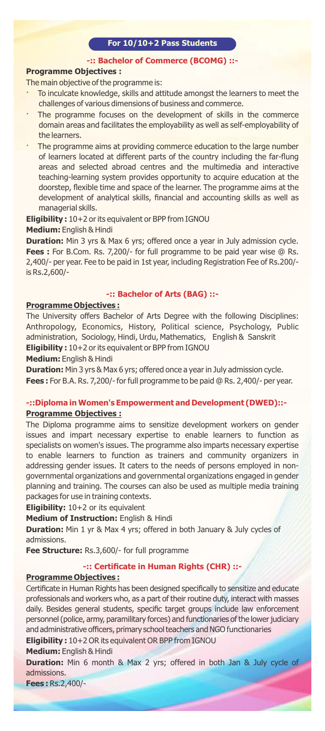# **For 10/10+2 Pass Students**

#### **-:: Bachelor of Commerce (BCOMG) ::-**

# **Programme Objectives :**

The main objective of the programme is:

- To inculcate knowledge, skills and attitude amongst the learners to meet the challenges of various dimensions of business and commerce.
- The programme focuses on the development of skills in the commerce domain areas and facilitates the employability as well as self-employability of the learners.
- The programme aims at providing commerce education to the large number of learners located at different parts of the country including the far-flung areas and selected abroad centres and the multimedia and interactive teaching-learning system provides opportunity to acquire education at the doorstep, flexible time and space of the learner. The programme aims at the development of analytical skills, financial and accounting skills as well as managerial skills.

**Eligibility :** 10+2 or its equivalent or BPP from IGNOU **Medium:** English & Hindi

**Duration:** Min 3 yrs & Max 6 yrs; offered once a year in July admission cycle.

**Fees :** For B.Com. Rs. 7,200/- for full programme to be paid year wise @ Rs. 2,400/- per year. Fee to be paid in 1st year, including Registration Fee of Rs.200/ is Rs.2,600/-

# **-:: Bachelor of Arts (BAG) ::-**

## **Programme Objectives :**

The University offers Bachelor of Arts Degree with the following Disciplines: Anthropology, Economics, History, Political science, Psychology, Public administration, Sociology, Hindi, Urdu, Mathematics, English & Sanskrit **Eligibility :** 10+2 or its equivalent or BPP from IGNOU

**Medium:** English & Hindi

**Duration:** Min 3 yrs & Max 6 yrs; offered once a year in July admission cycle. **Fees :** For B.A. Rs. 7,200/- for full programme to be paid @ Rs. 2,400/- per year.

# **-::Diploma in Women's Empowerment and Development (DWED)::- Programme Objectives :**

The Diploma programme aims to sensitize development workers on gender issues and impart necessary expertise to enable learners to function as specialists on women's issues. The programme also imparts necessary expertise to enable learners to function as trainers and community organizers in addressing gender issues. It caters to the needs of persons employed in nongovernmental organizations and governmental organizations engaged in gender planning and training. The courses can also be used as multiple media training packages for use in training contexts.

**Eligibility:** 10+2 or its equivalent

**Medium of Instruction:** English & Hindi

**Duration:** Min 1 yr & Max 4 yrs; offered in both January & July cycles of admissions.

**Fee Structure:** Rs.3,600/- for full programme

# **-:: Certicate in Human Rights (CHR) ::-**

# **Programme Objectives :**

Certificate in Human Rights has been designed specifically to sensitize and educate professionals and workers who, as a part of their routine duty, interact with masses daily. Besides general students, specific target groups include law enforcement personnel (police, army, paramilitary forces) and functionaries of the lower judiciary and administrative officers, primary school teachers and NGO functionaries

**Eligibility :** 10+2 OR its equivalent OR BPP from IGNOU

**Medium:** English & Hindi

**Duration:** Min 6 month & Max 2 yrs; offered in both Jan & July cycle of admissions.

**Fees :** Rs.2,400/-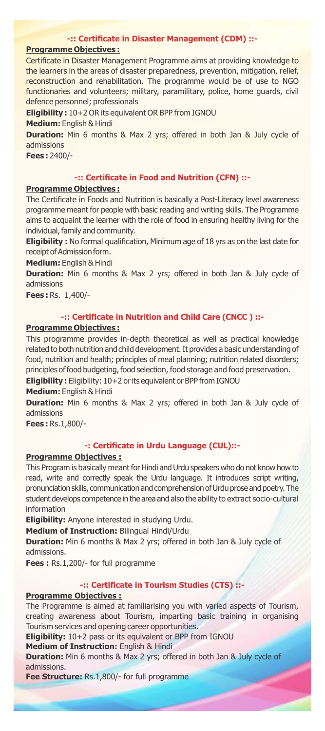#### **-:: Certicate in Disaster Management (CDM) ::-**

# **Programme Objectives :**

Certificate in Disaster Management Programme aims at providing knowledge to the learners in the areas of disaster preparedness, prevention, mitigation, relief, reconstruction and rehabilitation. The programme would be of use to NGO functionaries and volunteers; military, paramilitary, police, home guards, civil defence personnel; professionals

**Eligibility :** 10+2 OR its equivalent OR BPP from IGNOU

**Medium:** English & Hindi

**Duration:** Min 6 months & Max 2 yrs; offered in both Jan & July cycle of admissions

**Fees :** 2400/-

# **-:: Certicate in Food and Nutrition (CFN) ::-**

#### **Programme Objectives :**

The Certificate in Foods and Nutrition is basically a Post-Literacy level awareness programme meant for people with basic reading and writing skills. The Programme aims to acquaint the learner with the role of food in ensuring healthy living for the individual, family and community.

**Eligibility :** No formal qualification, Minimum age of 18 yrs as on the last date for receipt of Admission form.

**Medium:** English & Hindi

**Duration:** Min 6 months & Max 2 yrs; offered in both Jan & July cycle of admissions

**Fees :** Rs. 1,400/-

#### **-:: Certicate in Nutrition and Child Care (CNCC ) ::-**

#### **Programme Objectives :**

This programme provides in-depth theoretical as well as practical knowledge related to both nutrition and child development. It provides a basic understanding of food, nutrition and health; principles of meal planning; nutrition related disorders; principles of food budgeting, food selection, food storage and food preservation.

Eligibility: Eligibility: 10+2 or its equivalent or BPP from IGNOU

**Medium:** English & Hindi

**Duration:** Min 6 months & Max 2 yrs; offered in both Jan & July cycle of admissions

**Fees :** Rs.1,800/-

# **-: Certicate in Urdu Language (CUL)::-**

# **Programme Objectives :**

This Program is basically meant for Hindi and Urdu speakers who do not know how to read, write and correctly speak the Urdu language. It introduces script writing, pronunciation skills, communication and comprehension of Urdu prose and poetry. The student develops competence in the area and also the ability to extract socio-cultural information

**Eligibility:** Anyone interested in studying Urdu.

**Medium of Instruction:** Bilingual Hindi/Urdu

**Duration:** Min 6 months & Max 2 yrs; offered in both Jan & July cycle of admissions.

**Fees :** Rs.1,200/- for full programme

### **-:: Certicate in Tourism Studies (CTS) ::-**

#### **Programme Objectives :**

The Programme is aimed at familiarising you with varied aspects of Tourism, creating awareness about Tourism, imparting basic training in organising Tourism services and opening career opportunities.

**Eligibility:** 10+2 pass or its equivalent or BPP from IGNOU

**Medium of Instruction:** English & Hindi

**Duration:** Min 6 months & Max 2 yrs; offered in both Jan & July cycle of admissions.

**Fee Structure:** Rs.1,800/- for full programme